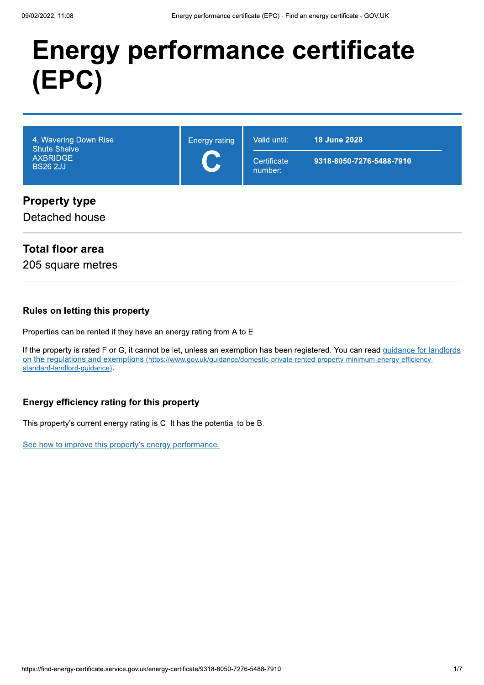# **Energy performance certificate** (EPC)

| 4, Wavering Down Rise<br><b>Shute Shelve</b> | Energy rating | Valid until:           | <b>18 June 2028</b>      |
|----------------------------------------------|---------------|------------------------|--------------------------|
| <b>AXBRIDGE</b><br><b>BS26 2JJ</b>           |               | Certificate<br>number: | 9318-8050-7276-5488-7910 |
|                                              |               |                        |                          |

#### **Property type**

Detached house

#### **Total floor area**

205 square metres

#### **Rules on letting this property**

Properties can be rented if they have an energy rating from A to E.

If the property is rated F or G, it cannot be let, unless an exemption has been registered. You can read guidance for landlords on the regulations and exemptions (https://www.gov.uk/guidance/domestic-private-rented-property-minimum-energy-efficiencystandard-landlord-guidance).

#### Energy efficiency rating for this property

This property's current energy rating is C. It has the potential to be B.

See how to improve this property's energy performance.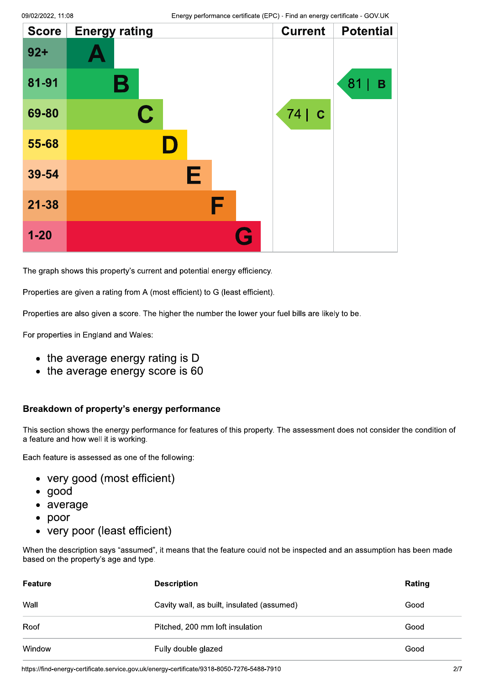| <b>Score</b> | <b>Energy rating</b> | <b>Current</b>      | <b>Potential</b> |
|--------------|----------------------|---------------------|------------------|
| $92 +$       |                      |                     |                  |
| 81-91        | Β                    |                     | 81<br>B          |
| 69-80        | $\mathbf C$          | 74  <br>$\mathbf C$ |                  |
| 55-68        | II)                  |                     |                  |
| 39-54        | Е                    |                     |                  |
| 21-38        | F                    |                     |                  |
| $1 - 20$     | Q                    |                     |                  |

The graph shows this property's current and potential energy efficiency.

Properties are given a rating from A (most efficient) to G (least efficient).

Properties are also given a score. The higher the number the lower your fuel bills are likely to be.

For properties in England and Wales:

- the average energy rating is D
- $\bullet$  the average energy score is 60

#### Breakdown of property's energy performance

This section shows the energy performance for features of this property. The assessment does not consider the condition of a feature and how well it is working.

Each feature is assessed as one of the following:

- very good (most efficient)
- $\bullet$  good
- average
- $\bullet$  poor
- very poor (least efficient)

When the description says "assumed", it means that the feature could not be inspected and an assumption has been made based on the property's age and type.

| Feature | <b>Description</b>                         | Rating |
|---------|--------------------------------------------|--------|
| Wall    | Cavity wall, as built, insulated (assumed) | Good   |
| Roof    | Pitched, 200 mm loft insulation            | Good   |
| Window  | Fully double glazed                        | Good   |

https://find-energy-certificate.service.gov.uk/energy-certificate/9318-8050-7276-5488-7910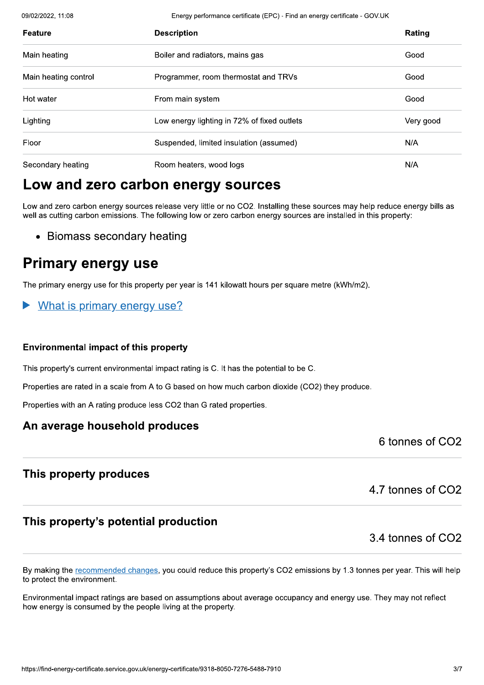09/02/2022, 11:08

Energy performance certificate (EPC) - Find an energy certificate - GOV.UK

| <b>Feature</b>       | <b>Description</b>                                       | Rating |  |
|----------------------|----------------------------------------------------------|--------|--|
| Main heating         | Boiler and radiators, mains gas                          | Good   |  |
| Main heating control | Programmer, room thermostat and TRVs<br>Good             |        |  |
| Hot water            | Good<br>From main system                                 |        |  |
| Lighting             | Low energy lighting in 72% of fixed outlets<br>Very good |        |  |
| Floor                | Suspended, limited insulation (assumed)                  | N/A    |  |
| Secondary heating    | N/A<br>Room heaters, wood logs                           |        |  |

# Low and zero carbon energy sources

Low and zero carbon energy sources release very little or no CO2. Installing these sources may help reduce energy bills as well as cutting carbon emissions. The following low or zero carbon energy sources are installed in this property:

• Biomass secondary heating

# **Primary energy use**

The primary energy use for this property per year is 141 kilowatt hours per square metre (kWh/m2).

What is primary energy use?

#### **Environmental impact of this property**

This property's current environmental impact rating is C. It has the potential to be C.

Properties are rated in a scale from A to G based on how much carbon dioxide (CO2) they produce.

Properties with an A rating produce less CO2 than G rated properties.

#### An average household produces

6 tonnes of CO2

#### This property produces

4.7 tonnes of CO2

#### This property's potential production

3.4 tonnes of CO2

By making the recommended changes, you could reduce this property's CO2 emissions by 1.3 tonnes per year. This will help to protect the environment.

Environmental impact ratings are based on assumptions about average occupancy and energy use. They may not reflect how energy is consumed by the people living at the property.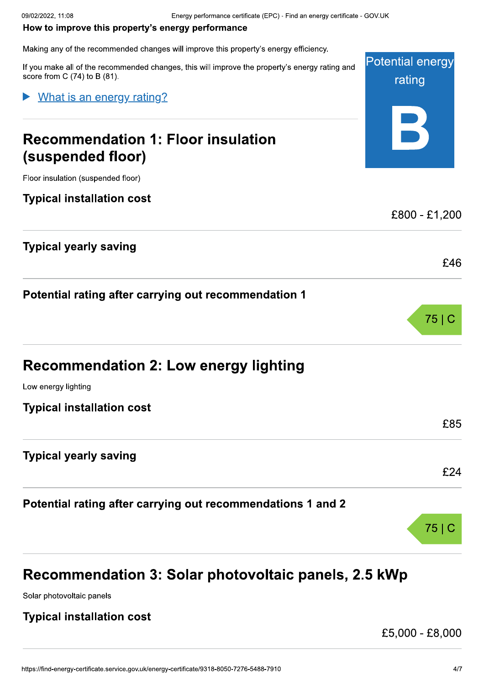#### How to improve this property's energy performance

| 09/02/2022, 11:08                 | Energy performance certificate (EPC) - Find an energy certificate                              |
|-----------------------------------|------------------------------------------------------------------------------------------------|
|                                   | How to improve this property's energy performance                                              |
|                                   | Making any of the recommended changes will improve this property's energy efficiency.          |
| score from C $(74)$ to B $(81)$ . | If you make all of the recommended changes, this will improve the property's energy rating and |
| What is an energy rating?         |                                                                                                |

#### What is an energy rating?

# Recommendation 1: Floor insulation (suspended floor) Recommendation<br>
(Suspended floc<br>
Floor insulation (suspended floor<br>
Typical installation controlled floor<br>
Typical yearly saving Recommendation 1:<br>
(suspended floor)<br>
Floor insulation (suspended floor)<br>
Typical installation cost<br>
Typical yearly saving

Floor insulation (suspended floor)

#### **Typical installation cost**

#### Typical yearly saving

Potential rating after carrying out recommendation 1

# Recommendation 2: Low energy lighting

Low enerav liahtina

**Typical installation cost** 

#### Typical yearly saving

#### Potential rating after carrying out recommendations 1 and 2

# Recommendation 3: Solar photovoltaic panels, 2.5 kWp

Solar photovoltaic panels

# !%&!
&!'(-**Typical installation cost**

 $£5,000 - £8,000$ 

Potential energy

rating

 $\overline{\mathbf{B}}$ 

£800 - £1,200

£46

£85

£24

 $75|C$ 

75 |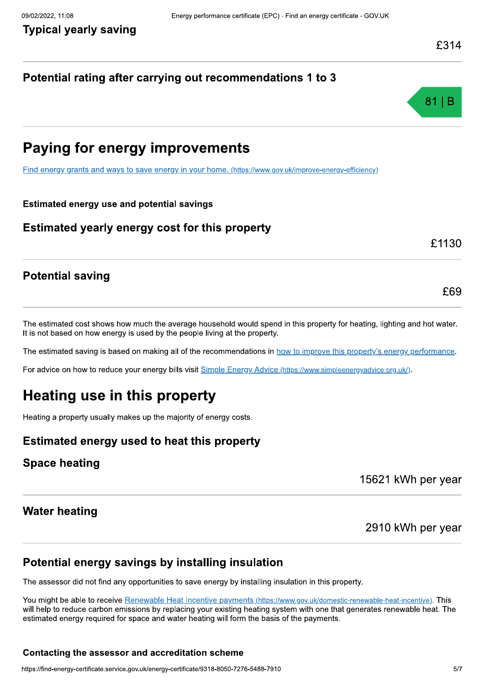## Potential rating after carrying out recommendations 1 to 3



£1130

£69

# **Paying for energy improvements**

Find energy grants and ways to save energy in your home. (https://www.gov.uk/improve-energy-efficiency)

#### **Estimated energy use and potential savings**

Estimated yearly energy cost for this property

#### **Potential saving**

The estimated cost shows how much the average household would spend in this property for heating, lighting and hot water. It is not based on how energy is used by the people living at the property.

The estimated saving is based on making all of the recommendations in how to improve this property's energy performance.

For advice on how to reduce your energy bills visit Simple Energy Advice (https://www.simpleenergyadvice.org.uk/).

# Heating use in this property

Heating a property usually makes up the majority of energy costs.

#### Estimated energy used to heat this property

#### **Space heating**

15621 kWh per year

#### **Water heating**

2910 kWh per year

#### Potential energy savings by installing insulation

The assessor did not find any opportunities to save energy by installing insulation in this property.

You might be able to receive Renewable Heat Incentive payments (https://www.gov.uk/domestic-renewable-heat-incentive). This will help to reduce carbon emissions by replacing your existing heating system with one that generates renewable heat. The estimated energy required for space and water heating will form the basis of the payments.

#### Contacting the assessor and accreditation scheme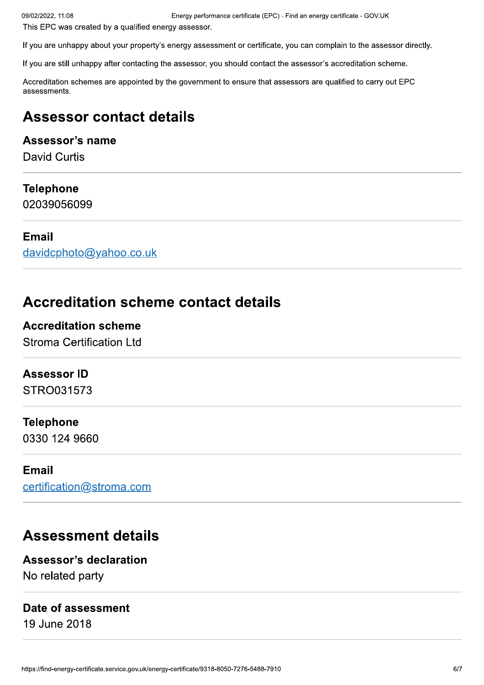This EPC was created by a qualified energy assessor.

If you are unhappy about your property's energy assessment or certificate, you can complain to the assessor directly.

If you are still unhappy after contacting the assessor, you should contact the assessor's accreditation scheme.

Accreditation schemes are appointed by the government to ensure that assessors are qualified to carry out EPC assessments.

### **Assessor contact details**

#### Assessor's name

**David Curtis** 

#### **Telephone**

02039056099

#### **Email**

davidcphoto@yahoo.co.uk

## **Accreditation scheme contact details**

#### **Accreditation scheme**

**Stroma Certification Ltd** 

#### **Assessor ID**

STRO031573

#### **Telephone**

0330 124 9660

#### **Email**

certification@stroma.com

# **Assessment details**

#### **Assessor's declaration** No related party

#### Date of assessment

19 June 2018